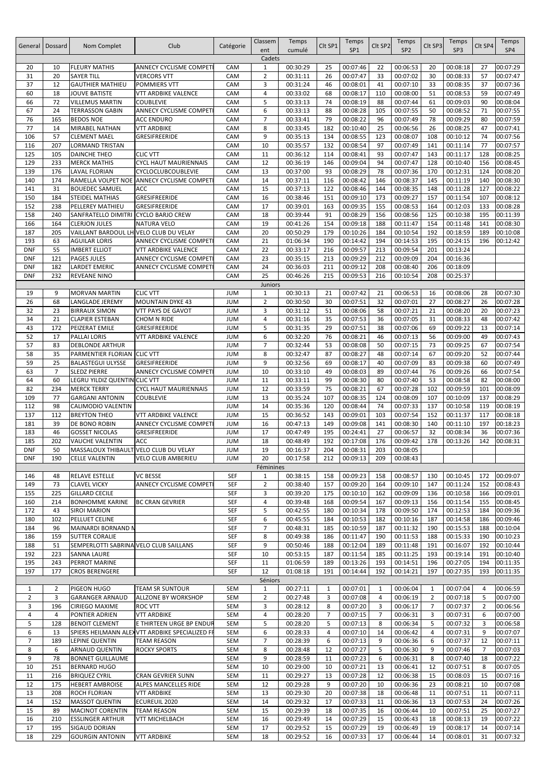|                | General   Dossard | Nom Complet                                 | Club                                          | Catégorie                | Classem             | Temps    | Clt SP1      | Temps           | Clt SP2  | Temps           | Clt SP3        | Temps    | Clt SP4        | Temps    |
|----------------|-------------------|---------------------------------------------|-----------------------------------------------|--------------------------|---------------------|----------|--------------|-----------------|----------|-----------------|----------------|----------|----------------|----------|
|                |                   |                                             |                                               |                          | ent                 | cumulé   |              | SP <sub>1</sub> |          | SP <sub>2</sub> |                | SP3      |                | SP4      |
|                |                   |                                             |                                               |                          | Cadets              |          |              |                 |          |                 |                |          |                |          |
| 20             | 10                | <b>FLEURY MATHIS</b>                        | ANNECY CYCLISME COMPETI                       | CAM                      | $\mathbf{1}$        | 00:30:29 | 25           | 00:07:46        | 22       | 00:06:53        | 20             | 00:08:18 | 27             | 00:07:29 |
| 31             | 20                | <b>SAYER TILL</b>                           | <b>VERCORS VTT</b>                            | CAM                      | $\overline{2}$      | 00:31:11 | 26           | 00:07:47        | 33       | 00:07:02        | 30             | 00:08:33 | 57             | 00:07:47 |
| 37             | 12                | <b>GAUTHIER MATHIEU</b>                     | POMMIERS VTT                                  | CAM                      | 3                   | 00:31:24 | 46           | 00:08:01        | 41       | 00:07:10        | 33             | 00:08:35 | 37             | 00:07:36 |
| 60             | 18                | <b>JOUVE BATISTE</b>                        | VTT ARDBIKE VALENCE                           | CAM                      | 4                   | 00:33:02 | 68           | 00:08:17        | 110      | 00:08:00        | 51             | 00:08:53 | 59             | 00:07:49 |
| 66             | 72                | <b>VILLEMUS MARTIN</b>                      | <b>COUBLEVIE</b>                              | CAM                      | 5                   | 00:33:13 | 74           | 00:08:19        | 88       | 00:07:44        | 61             | 00:09:03 | 90             | 00:08:04 |
| 67             | 24                | <b>TERRASSON GABIN</b>                      | ANNECY CYCLISME COMPET                        | CAM                      | 6                   | 00:33:13 | 88           | 00:08:28        | 105      | 00:07:55        | 50             | 00:08:52 | 71             | 00:07:55 |
| 76             | 165               | <b>BEDOS NOE</b>                            | ACC ENDURO                                    | CAM                      | $\overline{7}$      | 00:33:41 | 79           | 00:08:22        | 96       | 00:07:49        | 78             | 00:09:29 | 80             | 00:07:59 |
| 77             | 14                | MIRABEL NATHAN                              | <b>VTT ARDBIKE</b>                            | CAM                      | 8                   | 00:33:45 | 182          | 00:10:40        | 25       | 00:06:56        | 26             | 00:08:25 | 47             | 00:07:41 |
| 106            | 57                | <b>CLEMENT MAEL</b>                         | GRESIFREERIDE                                 | CAM                      | 9                   | 00:35:13 | 134          | 00:08:55        | 123      | 00:08:07        | 108            | 00:10:12 | 74             | 00:07:56 |
| 116            | 207               | LORMAND TRISTAN                             |                                               | CAM                      | 10                  | 00:35:57 | 132          | 00:08:54        | 97       | 00:07:49        | 141            | 00:11:14 | 77             | 00:07:57 |
| 125            | 105               | <b>DAINCHE THEO</b>                         | <b>CLIC VTT</b>                               | CAM                      | 11                  | 00:36:12 | 114          | 00:08:41        | 93       | 00:07:47        | 143            | 00:11:17 | 128            | 00:08:25 |
| 129            | 233               | <b>MERCK MATHIS</b>                         | <b>CYCL HAUT MAURIENNAIS</b>                  | CAM                      | 12                  | 00:36:19 | 146          | 00:09:04        | 94       | 00:07:47        | 128            | 00:10:40 | 156            | 00:08:45 |
| 139            | 176               | <b>LAVAL FLORIAN</b>                        | CYCLOCLUBCOUBLEVIE                            | CAM                      | 13                  | 00:37:00 | 93           | 00:08:29        | 78       | 00:07:36        | 170            | 00:12:31 | 124            | 00:08:20 |
| 140            | 174               | RAMELLA VOLPET NOE                          | ANNECY CYCLISME COMPET                        | CAM                      | 14                  | 00:37:11 | 116          | 00:08:42        | 146      | 00:08:37        | 145            | 00:11:19 | 140            | 00:08:30 |
| 141            | 31                | <b>BOUEDEC SAMUEL</b>                       | ACC                                           | CAM                      | 15                  | 00:37:13 | 122          | 00:08:46        | 144      | 00:08:35        | 148            | 00:11:28 | 127            | 00:08:22 |
| 150            | 184               | <b>STEIDEL MATHIAS</b>                      | GRESIFREERIDE                                 | CAM                      | 16                  | 00:38:46 | 151          | 00:09:10        | 173      | 00:09:27        | 157            | 00:11:54 | 107            | 00:08:12 |
| 152            | 238               | PELLEREY MATHIEU                            | GRESIFREERIDE                                 | CAM                      | 17                  | 00:39:01 | 163          | 00:09:35        | 155      | 00:08:53        | 164            | 00:12:03 | 133            | 00:08:28 |
| 158            | 240               | SANFRATELLO DIMITRI                         | <b>CYCLO BARJO CREW</b>                       | CAM                      | 18                  | 00:39:44 | 91           | 00:08:29        | 156      | 00:08:56        | 125            | 00:10:38 | 195            | 00:11:39 |
| 166            | 164               | <b>CLERJON JULES</b>                        | <b>NATURA VELO</b>                            | CAM                      | 19                  | 00:41:26 | 154          | 00:09:18        | 188      | 00:11:47        | 154            | 00:11:48 | 141            | 00:08:30 |
| 187            | 205               | VAILLANT BARDOUL LH VELO CLUB DU VELAY      |                                               | CAM                      | 20                  | 00:50:29 | 179          | 00:10:26        | 184      | 00:10:54        | 192            | 00:18:59 | 189            | 00:10:08 |
| 193            | 63                | <b>AGUILAR LORIS</b>                        | ANNECY CYCLISME COMPET                        | CAM                      | 21                  | 01:06:34 | 190          | 00:14:42        | 194      | 00:14:53        | 195            | 00:24:15 | 196            | 00:12:42 |
| <b>DNF</b>     | 55                | <b>IMBERT ELLIOT</b>                        | VTT ARDBIKE VALENCE                           | CAM                      | 22                  | 00:33:17 | 216          | 00:09:57        | 213      | 00:09:54        | 201            | 00:13:24 |                |          |
|                | 121               | <b>PAGES JULES</b>                          |                                               | CAM                      | 23                  |          |              | 00:09:29        | 212      | 00:09:09        |                |          |                |          |
| <b>DNF</b>     |                   |                                             | ANNECY CYCLISME COMPET                        |                          |                     | 00:35:15 | 213          |                 |          |                 | 204            | 00:16:36 |                |          |
| <b>DNF</b>     | 182               | LARDET EMERIC                               | ANNECY CYCLISME COMPET                        | CAM                      | 24                  | 00:36:03 | 211          | 00:09:12        | 208      | 00:08:40        | 206            | 00:18:09 |                |          |
| <b>DNF</b>     | 232               | REVEANE NINO                                |                                               | CAM                      | 25                  | 00:46:26 | 215          | 00:09:53        | 216      | 00:10:54        | 208            | 00:25:37 |                |          |
|                | 9                 |                                             | <b>CLIC VTT</b>                               |                          | <b>Juniors</b><br>1 | 00:30:13 |              | 00:07:42        |          | 00:06:53        | 16             | 00:08:06 |                | 00:07:30 |
| 19<br>26       | 68                | <b>MORVAN MARTIN</b><br>LANGLADE JEREMY     | <b>MOUNTAIN DYKE 43</b>                       | <b>JUM</b><br><b>JUM</b> | $\overline{2}$      | 00:30:50 | 21<br>30     | 00:07:51        | 21<br>32 | 00:07:01        | 27             | 00:08:27 | 28<br>26       | 00:07:28 |
|                |                   |                                             |                                               |                          |                     |          |              |                 |          |                 |                |          |                |          |
| 32             | 23                | <b>BIRRAUX SIMON</b>                        | VTT PAYS DE GAVOT                             | <b>JUM</b>               | 3                   | 00:31:12 | 51           | 00:08:06        | 58       | 00:07:21        | 21             | 00:08:20 | 20             | 00:07:23 |
| 34             | 21                | <b>CLAPIER ESTEBAN</b>                      | CHOM N RIDE                                   | <b>JUM</b>               | 4                   | 00:31:16 | 35           | 00:07:53        | 36       | 00:07:05        | 31             | 00:08:33 | 48             | 00:07:42 |
| 43             | 172               | PEIZERAT EMILE                              | GRESIFREERIDE                                 | <b>JUM</b>               | 5                   | 00:31:35 | 29           | 00:07:51        | 38       | 00:07:06        | 69             | 00:09:22 | 13             | 00:07:14 |
| 52             | 17                | PALLAI LORIS                                | VTT ARDBIKE VALENCE                           | <b>JUM</b>               | 6                   | 00:32:20 | 76           | 00:08:21        | 46       | 00:07:13        | 56             | 00:09:00 | 49             | 00:07:43 |
| 57             | 83                | <b>DEBLONDE ARTHUR</b>                      |                                               | <b>JUM</b>               | $\overline{7}$      | 00:32:44 | 53           | 00:08:08        | 50       | 00:07:15        | 73             | 00:09:25 | 67             | 00:07:54 |
| 58             | 35                | PARMENTIER FLORIAN                          | <b>CLIC VTT</b>                               | <b>JUM</b>               | 8                   | 00:32:47 | 87           | 00:08:27        | 48       | 00:07:14        | 67             | 00:09:20 | 52             | 00:07:44 |
| 59             | 25                | <b>BALASTEGUI ULYSSE</b>                    | GRESIFREERIDE                                 | <b>JUM</b>               | 9                   | 00:32:56 | 69           | 00:08:17        | 40       | 00:07:09        | 83             | 00:09:38 | 60             | 00:07:49 |
| 63             | $\overline{7}$    | <b>SLEDZ PIERRE</b>                         | ANNECY CYCLISME COMPET                        | <b>JUM</b>               | 10                  | 00:33:10 | 49           | 00:08:03        | 89       | 00:07:44        | 76             | 00:09:26 | 66             | 00:07:54 |
| 64             | 60                | LEGRU YILDIZ QUENTIN CLIC VTT               |                                               | <b>JUM</b>               | 11                  | 00:33:11 | 99           | 00:08:30        | 80       | 00:07:40        | 53             | 00:08:58 | 82             | 00:08:00 |
| 82             | 234               | <b>MERCK TERRY</b>                          | <b>CYCL HAUT MAURIENNAIS</b>                  | <b>JUM</b>               | 12                  | 00:33:59 | 75           | 00:08:21        | 67       | 00:07:28        | 102            | 00:09:59 | 101            | 00:08:09 |
| 109            | 77                | <b>GARGANI ANTONIN</b>                      | <b>COUBLEVIE</b>                              | <b>JUM</b>               | 13                  | 00:35:24 | 107          | 00:08:35        | 124      | 00:08:09        | 107            | 00:10:09 | 137            | 00:08:29 |
| 112            | 98                | CALIMODIO VALENTIN                          |                                               | <b>JUM</b>               | 14                  | 00:35:36 | 120          | 00:08:44        | 74       | 00:07:33        | 137            | 00:10:58 | 119            | 00:08:19 |
| 137            | 112               | <b>BREYTON THEO</b>                         | VTT ARDBIKE VALENCE                           | <b>JUM</b>               | 15                  | 00:36:52 | 143          | 00:09:01        | 103      | 00:07:54        | 152            | 00:11:37 | 117            | 00:08:18 |
| 181            | 39                | DE BONO ROBIN                               | ANNECY CYCLISME COMPET                        | <b>JUM</b>               | 16                  | 00:47:13 | 149          | 00:09:08        | 141      | 00:08:30        | 140            | 00:11:10 | 197            | 00:18:23 |
| 183            | 46                | <b>GOSSET NICOLAS</b>                       | GRESIFREERIDE                                 | <b>JUM</b>               | 17                  | 00:47:49 | 195          | 00:24:41        | 27       | 00:06:57        | 32             | 00:08:34 | 36             | 00:07:36 |
| 185            | 202               | VAUCHE VALENTIN                             | ACC                                           | <b>JUM</b>               | 18                  | 00:48:49 | 192          | 00:17:08        | 176      | 00:09:42        | 178            | 00:13:26 | 142            | 00:08:31 |
| <b>DNF</b>     | 50                | MASSALOUX THIBAULT VELO CLUB DU VELAY       |                                               | <b>NUL</b>               | 19                  | 00:16:37 | 204          | 00:08:31        | 203      | 00:08:05        |                |          |                |          |
| <b>DNF</b>     | 190               | <b>CELLE VALENTIN</b>                       | <b>VELO CLUB AMBERIEU</b>                     | <b>JUM</b>               | 20                  | 00:17:58 | 212          | 00:09:13        | 209      | 00:08:43        |                |          |                |          |
|                |                   |                                             |                                               |                          | Féminines           |          |              |                 |          |                 |                |          |                |          |
| 146            | 48                | <b>RELAVE ESTELLE</b>                       | <b>VC BESSE</b>                               | SEF                      | 1                   | 00:38:15 | 158          | 00:09:23        | 158      | 00:08:57        | 130            | 00:10:45 | 172            | 00:09:07 |
| 149            | 73                | <b>CLAVEL VICKY</b>                         | <b>ANNECY CYCLISME COMPET</b>                 | SEF                      | $\overline{2}$      | 00:38:40 | 157          | 00:09:20        | 164      | 00:09:10        | 147            | 00:11:24 | 152            | 00:08:43 |
| 155            | 225               | <b>GILLARD CECILE</b>                       |                                               | SEF                      | 3                   | 00:39:20 | 175          | 00:10:10        | 162      | 00:09:09        | 136            | 00:10:58 | 166            | 00:09:01 |
| 160            | 214               | <b>BONHOMME KARINE</b>                      | <b>BC CRAN GEVRIER</b>                        | SEF                      | 4                   | 00:39:48 | 168          | 00:09:54        | 167      | 00:09:13        | 156            | 00:11:54 | 155            | 00:08:45 |
| 172            | 43                | <b>SIROI MARION</b>                         |                                               | SEF                      | 5                   | 00:42:55 | 180          | 00:10:34        | 178      | 00:09:50        | 174            | 00:12:53 | 184            | 00:09:36 |
| 180            | 102               | PELLUET CELINE                              |                                               | SEF                      | 6                   | 00:45:55 | 184          | 00:10:53        | 182      | 00:10:16        | 187            | 00:14:58 | 186            | 00:09:46 |
| 184            | 96                |                                             |                                               | SEF                      | $\overline{7}$      |          | 185          | 00:10:59        | 187      | 00:11:32        | 190            | 00:15:53 | 188            | 00:10:04 |
|                |                   | MAINARDI BORNAND N<br><b>SUTTER CORALIE</b> |                                               |                          |                     | 00:48:31 |              |                 |          |                 |                |          |                |          |
| 186            | 159               |                                             |                                               | SEF                      | 8                   | 00:49:38 | 186          | 00:11:47        | 190      | 00:11:53        | 188            | 00:15:33 | 190            | 00:10:23 |
| 188            | 51                | SEMPERLOTTI SABRINA VELO CLUB SAILLANS      |                                               | SEF                      | 9                   | 00:50:46 | 188          | 00:12:04        | 189      | 00:11:48        | 191            | 00:16:07 | 192            | 00:10:44 |
| 192            | 223               | <b>SANNA LAURE</b>                          |                                               | SEF                      | 10                  | 00:53:15 | 187          | 00:11:54        | 185      | 00:11:25        | 193            | 00:19:14 | 191            | 00:10:40 |
| 195            | 243               | PERROT MARINE                               |                                               | SEF                      | 11                  | 01:06:59 | 189          | 00:13:26        | 193      | 00:14:51        | 196            | 00:27:05 | 194            | 00:11:35 |
| 197            | 177               | <b>CROS BERENGERE</b>                       |                                               | SEF                      | 12                  | 01:08:18 | 191          | 00:14:44        | 192      | 00:14:21        | 197            | 00:27:35 | 193            | 00:11:35 |
|                |                   |                                             |                                               |                          | Séniors             |          |              |                 |          |                 |                |          |                |          |
| $\mathbf{1}$   | $\overline{2}$    | PIGEON HUGO                                 | <b>TEAM SR SUNTOUR</b>                        | SEM                      | $\mathbf{1}$        | 00:27:11 | $\mathbf{1}$ | 00:07:01        | 1        | 00:06:04        | 1              | 00:07:04 | 4              | 00:06:59 |
| $\overline{2}$ | 3                 | <b>GARANGER ARNAUD</b>                      | ALLZONE BY WORKSHOP                           | SEM                      | 2                   | 00:27:48 | 3            | 00:07:08        | 4        | 00:06:19        | 2              | 00:07:18 | 5              | 00:07:00 |
| 3              | 196               | <b>CIRIEGO MAXIME</b>                       | ROC VTT                                       | SEM                      | 3                   | 00:28:12 | 8            | 00:07:20        | 3        | 00:06:17        | $\overline{7}$ | 00:07:37 | $\overline{2}$ | 00:06:56 |
| 4              | 4                 | PONTIER ADRIEN                              | <b>VTT ARDBIKE</b>                            | SEM                      | 4                   | 00:28:20 | 7            | 00:07:15        | 7        | 00:06:31        | 3              | 00:07:31 | 6              | 00:07:00 |
| 5              | 128               | <b>BENOIT CLEMENT</b>                       | E THIRTEEN URGE BP ENDUR                      | SEM                      | 5                   | 00:28:20 | 5            | 00:07:13        | 8        | 00:06:34        | 5              | 00:07:32 | 3              | 00:06:58 |
| 6              | 13                |                                             | SPIERS HEILMANN ALEXVTT ARDBIKE SPECIALIZED F | SEM                      | 6                   | 00:28:33 | 4            | 00:07:10        | 14       | 00:06:42        | 4              | 00:07:31 | 9              | 00:07:07 |
| $\overline{7}$ | 189               | LEPINE QUENTIN                              | <b>TEAM REASON</b>                            | SEM                      | $\overline{7}$      | 00:28:39 | 6            | 00:07:13        | 9        | 00:06:36        | 6              | 00:07:37 | 12             | 00:07:11 |
| 8              | 6                 | ARNAUD QUENTIN                              | <b>ROCKY SPORTS</b>                           | SEM                      | 8                   | 00:28:48 | 12           | 00:07:27        | 5        | 00:06:30        | 9              | 00:07:46 | $\overline{7}$ | 00:07:03 |
| 9              | 78                | <b>BONNET GUILLAUME</b>                     |                                               | SEM                      | 9                   | 00:28:59 | 11           | 00:07:23        | 6        | 00:06:31        | 8              | 00:07:40 | 18             | 00:07:22 |
| 10             | 251               | <b>BERNARD HUGO</b>                         |                                               | SEM                      | 10                  | 00:29:00 | 10           | 00:07:21        | 13       | 00:06:41        | 12             | 00:07:51 | 8              | 00:07:05 |
| 11             | 216               | <b>BRIQUEZ CYRIL</b>                        | <b>CRAN GEVRIER SUNN</b>                      | SEM                      | 11                  | 00:29:27 | 13           | 00:07:28        | 12       | 00:06:38        | 15             | 00:08:03 | 15             | 00:07:16 |
| 12             | 175               | <b>HEBERT AMBROISE</b>                      | ALPES MANCELLES RIDE                          | SEM                      | 12                  | 00:29:28 | 9            | 00:07:20        | 10       | 00:06:36        | 23             | 00:08:21 | 10             | 00:07:08 |
| 13             | 208               | ROCH FLORIAN                                | <b>VTT ARDBIKE</b>                            | SEM                      | 13                  | 00:29:30 | 20           | 00:07:38        | 18       | 00:06:48        | 11             | 00:07:51 | 11             | 00:07:11 |
| 14             | 152               | <b>MASSOT QUENTIN</b>                       | ECUREUIL 2020                                 | SEM                      | 14                  | 00:29:32 | 17           | 00:07:33        | 11       | 00:06:36        | 13             | 00:07:53 | 24             | 00:07:26 |
| 15             | 89                | <b>MACINOT CORENTIN</b>                     | <b>TEAM REASON</b>                            | SEM                      | 15                  | 00:29:39 | 18           | 00:07:35        | 16       | 00:06:44        | 10             | 00:07:51 | 25             | 00:07:27 |
| 16             | 210               | <b>ESSLINGER ARTHUR</b>                     | VTT MICHELBACH                                | SEM                      | 16                  | 00:29:49 | 14           | 00:07:29        | 15       | 00:06:43        | 18             | 00:08:13 | 19             | 00:07:22 |
| 17             | 195               | SIGAUD DORIAN                               |                                               | SEM                      | 17                  | 00:29:52 | 15           | 00:07:29        | 19       | 00:06:49        | 19             | 00:08:17 | 14             | 00:07:14 |
| 18             | 229               | <b>GOURGIN ANTONIN</b>                      | <b>VTT ARDBIKE</b>                            | SEM                      | 18                  | 00:29:52 | 16           | 00:07:33        | 17       | 00:06:44        | 14             | 00:08:01 | 31             | 00:07:32 |
|                |                   |                                             |                                               |                          |                     |          |              |                 |          |                 |                |          |                |          |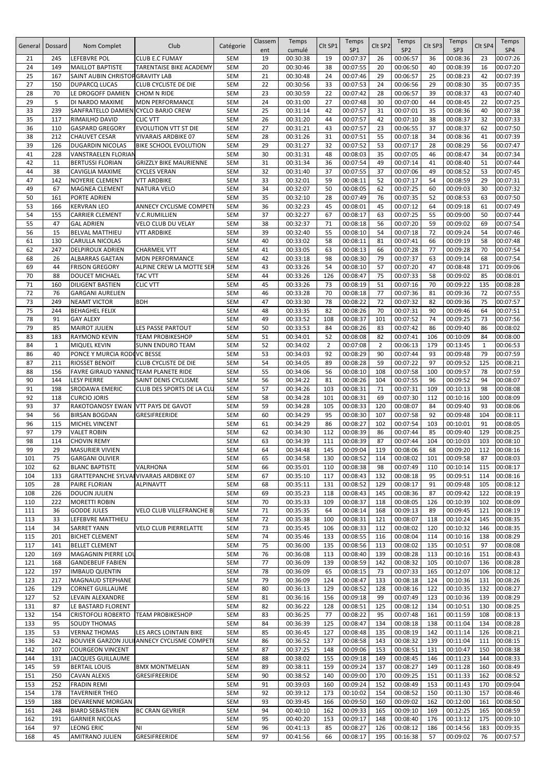| General    | Dossard      | Nom Complet                                              | Club                                               | Catégorie                | Classem<br>ent | Temps<br>cumulé      | Clt SP1        | Temps<br>SP <sub>1</sub> | Clt SP2        | Temps<br>SP <sub>2</sub> | Clt SP3    | Temps<br>SP3         | Clt SP4      | Temps<br>SP4         |
|------------|--------------|----------------------------------------------------------|----------------------------------------------------|--------------------------|----------------|----------------------|----------------|--------------------------|----------------|--------------------------|------------|----------------------|--------------|----------------------|
| 21         | 245          | LEFEBVRE POL                                             | <b>CLUB E.C FUMAY</b>                              | <b>SEM</b>               | 19             | 00:30:38             | 19             | 00:07:37                 | 26             | 00:06:57                 | 36         | 00:08:36             | 23           | 00:07:26             |
| 24<br>25   | 149<br>167   | <b>MAILLOT BAPTISTE</b>                                  | TARENTAISE BIKE ACADEMY                            | <b>SEM</b><br><b>SEM</b> | 20<br>21       | 00:30:46<br>00:30:48 | 38<br>24       | 00:07:55<br>00:07:46     | 20<br>29       | 00:06:50<br>00:06:57     | 40<br>25   | 00:08:39<br>00:08:23 | 16<br>42     | 00:07:20<br>00:07:39 |
| 27         | 150          | SAINT AUBIN CHRISTOP GRAVITY LAB<br><b>DUPARCQ LUCAS</b> | CLUB CYCLISTE DE DIE                               | <b>SEM</b>               | 22             | 00:30:56             | 33             | 00:07:53                 | 24             | 00:06:56                 | 29         | 00:08:30             | 35           | 00:07:35             |
| 28         | 70           | LE DROGOFF DAMIEN                                        | <b>CHOM N RIDE</b>                                 | <b>SEM</b>               | 23             | 00:30:59             | 22             | 00:07:42                 | 28             | 00:06:57                 | 39         | 00:08:37             | 43           | 00:07:40             |
| 29         | 5            | DI NARDO MAXIME                                          | <b>MDN PERFORMANCE</b>                             | <b>SEM</b>               | 24             | 00:31:00             | 27             | 00:07:48                 | 30             | 00:07:00                 | 44         | 00:08:45             | 22           | 00:07:25             |
| 33         | 239          | SANFRATELLO DAMIEN CYCLO BARJO CREW                      |                                                    | <b>SEM</b>               | 25             | 00:31:14             | 42             | 00:07:57                 | 31             | 00:07:01                 | 35         | 00:08:36             | 40           | 00:07:38             |
| 35<br>36   | 117<br>110   | RIMAILHO DAVID<br><b>GASPARD GREGORY</b>                 | <b>CLIC VTT</b><br><b>EVOLUTION VTT ST DIE</b>     | <b>SEM</b><br><b>SEM</b> | 26<br>27       | 00:31:20<br>00:31:21 | 44<br>43       | 00:07:57<br>00:07:57     | 42<br>23       | 00:07:10<br>00:06:55     | 38<br>37   | 00:08:37<br>00:08:37 | 32<br>62     | 00:07:33<br>00:07:50 |
| 38         | 212          | <b>CHAUVET CESAR</b>                                     | <b>VIVARAIS ARDBIKE 07</b>                         | <b>SEM</b>               | 28             | 00:31:26             | 31             | 00:07:51                 | 55             | 00:07:18                 | 34         | 00:08:36             | 41           | 00:07:39             |
| 39         | 126          | <b>DUGARDIN NICOLAS</b>                                  | <b>BIKE SCHOOL EVOLUTION</b>                       | <b>SEM</b>               | 29             | 00:31:27             | 32             | 00:07:52                 | 53             | 00:07:17                 | 28         | 00:08:29             | 56           | 00:07:47             |
| 41         | 228          | VANSTRAELEN FLORIAN                                      |                                                    | <b>SEM</b>               | 30             | 00:31:31             | 48             | 00:08:03                 | 35             | 00:07:05                 | 46         | 00:08:47             | 34           | 00:07:34             |
| 42         | 11           | <b>BERTUSSI FLORIAN</b>                                  | <b>GRIZZLY BIKE MAURIENNE</b>                      | <b>SEM</b>               | 31             | 00:31:34             | 36             | 00:07:54                 | 49             | 00:07:14                 | 41         | 00:08:40             | 51           | 00:07:44             |
| 44<br>47   | 38<br>142    | CAVIGLIA MAXIME<br>NOYERIE CLEMENT                       | <b>CYCLES VERAN</b><br><b>VTT ARDBIKE</b>          | <b>SEM</b><br><b>SEM</b> | 32<br>33       | 00:31:40<br>00:32:01 | 37<br>59       | 00:07:55<br>00:08:11     | 37<br>52       | 00:07:06<br>00:07:17     | 49<br>54   | 00:08:52<br>00:08:59 | 53<br>29     | 00:07:45<br>00:07:31 |
| 49         | 67           | MAGNEA CLEMENT                                           | <b>NATURA VELO</b>                                 | <b>SEM</b>               | 34             | 00:32:07             | 50             | 00:08:05                 | 62             | 00:07:25                 | 60         | 00:09:03             | 30           | 00:07:32             |
| 50         | 161          | PORTE ADRIEN                                             |                                                    | <b>SEM</b>               | 35             | 00:32:10             | 28             | 00:07:49                 | 76             | 00:07:35                 | 52         | 00:08:53             | 63           | 00:07:50             |
| 53         | 166          | <b>KERVRAN LEO</b>                                       | ANNECY CYCLISME COMPET                             | <b>SEM</b>               | 36             | 00:32:23             | 45             | 00:08:01                 | 45             | 00:07:12                 | 64         | 00:09:18             | 61           | 00:07:49             |
| 54         | 155          | <b>CARRIER CLEMENT</b>                                   | <b>V.C.RUMILLIEN</b>                               | <b>SEM</b>               | 37             | 00:32:27             | 67             | 00:08:17                 | 63             | 00:07:25                 | 55         | 00:09:00<br>00:09:02 | 50           | 00:07:44             |
| 55<br>56   | 47<br>15     | <b>GAL ADRIEN</b><br><b>BELVAL MATTHIEU</b>              | VELO CLUB DU VELAY<br><b>VTT ARDBIKE</b>           | <b>SEM</b><br><b>SEM</b> | 38<br>39       | 00:32:37<br>00:32:40 | 71<br>55       | 00:08:18<br>00:08:10     | 56<br>54       | 00:07:20<br>00:07:18     | 59<br>72   | 00:09:24             | 69<br>54     | 00:07:54<br>00:07:46 |
| 61         | 130          | <b>CARULLA NICOLAS</b>                                   |                                                    | <b>SEM</b>               | 40             | 00:33:02             | 58             | 00:08:11                 | 81             | 00:07:41                 | 66         | 00:09:19             | 58           | 00:07:48             |
| 62         | 247          | <b>DELPIROUX ADRIEN</b>                                  | <b>CHARMEIL VTT</b>                                | <b>SEM</b>               | 41             | 00:33:05             | 63             | 00:08:13                 | 66             | 00:07:28                 | 77         | 00:09:28             | 70           | 00:07:54             |
| 68         | 26           | <b>ALBARRAS GAETAN</b>                                   | <b>MDN PERFORMANCE</b>                             | <b>SEM</b>               | 42             | 00:33:18             | 98             | 00:08:30                 | 79             | 00:07:37                 | 63         | 00:09:14             | 68           | 00:07:54             |
| 69         | 44           | <b>FRISON GREGORY</b>                                    | ALPINE CREW LA MOTTE SER                           | <b>SEM</b>               | 43             | 00:33:26             | 54             | 00:08:10                 | 57             | 00:07:20                 | 47         | 00:08:48             | 171          | 00:09:06             |
| 70<br>71   | 88<br>160    | <b>DOUCET MICHAEL</b><br><b>DILIGENT BASTIEN</b>         | <b>TAC VTT</b><br><b>CLIC VTT</b>                  | <b>SEM</b><br><b>SEM</b> | 44<br>45       | 00:33:26<br>00:33:26 | 126<br>73      | 00:08:47<br>00:08:19     | 75<br>51       | 00:07:33<br>00:07:16     | 58<br>70   | 00:09:02<br>00:09:22 | 85<br>135    | 00:08:01<br>00:08:28 |
| 72         | 76           | <b>GARGANI AURELIEN</b>                                  |                                                    | <b>SEM</b>               | 46             | 00:33:28             | 70             | 00:08:18                 | 77             | 00:07:36                 | 81         | 00:09:36             | 72           | 00:07:55             |
| 73         | 249          | <b>NEAMT VICTOR</b>                                      | <b>BDH</b>                                         | <b>SEM</b>               | 47             | 00:33:30             | 78             | 00:08:22                 | 72             | 00:07:32                 | 82         | 00:09:36             | 75           | 00:07:57             |
| 75         | 244          | <b>BEHAGHEL FELIX</b>                                    |                                                    | <b>SEM</b>               | 48             | 00:33:35             | 82             | 00:08:26                 | 70             | 00:07:31                 | 90         | 00:09:46             | 64           | 00:07:51             |
| 78         | 91           | <b>GAY ALEXY</b>                                         |                                                    | <b>SEM</b>               | 49             | 00:33:52             | 108            | 00:08:37                 | 101            | 00:07:52                 | 74         | 00:09:25             | 73           | 00:07:56             |
| 79<br>83   | 85<br>183    | <b>MAIROT JULIEN</b>                                     | LES PASSE PARTOUT                                  | <b>SEM</b><br><b>SEM</b> | 50<br>51       | 00:33:53<br>00:34:01 | 84<br>52       | 00:08:26                 | 83<br>82       | 00:07:42                 | 86         | 00:09:40             | 86<br>84     | 00:08:02             |
| 84         | $\mathbf{1}$ | <b>RAYMOND KEVIN</b><br>MIQUEL KEVIN                     | <b>TEAM PROBIKESHOP</b><br><b>SUNN ENDURO TEAM</b> | <b>SEM</b>               | 52             | 00:34:02             | $\overline{2}$ | 00:08:08<br>00:07:08     | $\overline{2}$ | 00:07:41<br>00:06:13     | 106<br>179 | 00:10:09<br>00:13:45 | $\mathbf{1}$ | 00:08:00<br>00:06:53 |
| 86         | 40           | PONCE Y MURCIA RODOVC BESSE                              |                                                    | <b>SEM</b>               | 53             | 00:34:03             | 92             | 00:08:29                 | 90             | 00:07:44                 | 93         | 00:09:48             | 79           | 00:07:59             |
| 87         | 211          | RIOSSET BENOIT                                           | <b>CLUB CYCLISTE DE DIE</b>                        | <b>SEM</b>               | 54             | 00:34:05             | 89             | 00:08:28                 | 59             | 00:07:22                 | 97         | 00:09:52             | 125          | 00:08:21             |
| 88         | 156          | FAVRE GIRAUD YANNIC TEAM PLANETE RIDE                    |                                                    | <b>SEM</b>               | 55             | 00:34:06             | 56             | 00:08:10                 | 108            | 00:07:58                 | 100        | 00:09:57             | 78           | 00:07:59             |
| 90         | 144          | <b>LESY PIERRE</b>                                       | SAINT DENIS CYCLISME                               | <b>SEM</b>               | 56             | 00:34:22             | 81             | 00:08:26                 | 104            | 00:07:55                 | 96         | 00:09:52             | 94<br>98     | 00:08:07             |
| 91<br>92   | 198<br>118   | SRODAWA EMERIC<br><b>CURCIO JORIS</b>                    | CLUB DES SPORTS DE LA CLU                          | <b>SEM</b><br><b>SEM</b> | 57<br>58       | 00:34:26<br>00:34:28 | 103<br>101     | 00:08:31<br>00:08:31     | 71<br>69       | 00:07:31<br>00:07:30     | 109<br>112 | 00:10:13<br>00:10:16 | 100          | 00:08:08<br>00:08:09 |
| 93         | 37           | RAKOTOANOSY EWAN                                         | VTT PAYS DE GAVOT                                  | <b>SEM</b>               | 59             | 00:34:28             | 105            | 00:08:33                 | 120            | 00:08:07                 | 84         | 00:09:40             | 93           | 00:08:06             |
| 94         | 56           | <b>BIRSAN BOGDAN</b>                                     | GRESIFREERIDE                                      | <b>SEM</b>               | 60             | 00:34:29             | 95             | 00:08:30                 | 107            | 00:07:58                 | 92         | 00:09:48             | 104          | 00:08:11             |
| 96         | 115          | MICHEL VINCENT                                           |                                                    | <b>SEM</b>               | 61             | 00:34:29             | 86             | 00:08:27                 | 102            | 00:07:54                 | 103        | 00:10:01             | 91           | 00:08:05             |
| 97<br>98   | 179<br>114   | <b>VALET ROBIN</b>                                       |                                                    | <b>SEM</b><br><b>SEM</b> | 62<br>63       | 00:34:30<br>00:34:39 | 112<br>111     | 00:08:39<br>00:08:39     | 86<br>87       | 00:07:44<br>00:07:44     | 85<br>104  | 00:09:40<br>00:10:03 | 129<br>103   | 00:08:25             |
| 99         | 29           | <b>CHOVIN REMY</b><br><b>MASURIER VIVIEN</b>             |                                                    | <b>SEM</b>               | 64             | 00:34:48             | 145            | 00:09:04                 | 119            | 00:08:06                 | 68         | 00:09:20             | 112          | 00:08:10<br>00:08:16 |
| 101        | 75           | <b>GARGANI OLIVIER</b>                                   |                                                    | <b>SEM</b>               | 65             | 00:34:58             | 130            | 00:08:52                 | 114            | 00:08:02                 | 101        | 00:09:58             | 87           | 00:08:03             |
| 102        | 62           | <b>BLANC BAPTISTE</b>                                    | VALRHONA                                           | <b>SEM</b>               | 66             | 00:35:01             | 110            | 00:08:38                 | 98             | 00:07:49                 | 110        | 00:10:14             | 115          | 00:08:17             |
| 104        | 133          | <b>GRATTEPANCHE SYLVAI VIVARAIS ARDBIKE 07</b>           |                                                    | <b>SEM</b>               | 67             | 00:35:10             | 117            | 00:08:43                 | 132            | 00:08:18                 | 95         | 00:09:51             | 114          | 00:08:16             |
| 105<br>108 | 28<br>226    | PAIRE FLORIAN<br><b>DOUCIN JULIEN</b>                    | <b>ALPINAVTT</b>                                   | <b>SEM</b><br><b>SEM</b> | 68<br>69       | 00:35:11<br>00:35:23 | 131<br>118     | 00:08:52<br>00:08:43     | 129<br>145     | 00:08:17<br>00:08:36     | 91<br>87   | 00:09:48<br>00:09:42 | 105<br>122   | 00:08:12<br>00:08:19 |
| 110        | 222          | MORETTI ROBIN                                            |                                                    | <b>SEM</b>               | 70             | 00:35:33             | 109            | 00:08:37                 | 118            | 00:08:05                 | 126        | 00:10:39             | 102          | 00:08:09             |
| 111        | 36           | <b>GODDE JULES</b>                                       | VELO CLUB VILLEFRANCHE B                           | <b>SEM</b>               | 71             | 00:35:35             | 64             | 00:08:14                 | 168            | 00:09:13                 | 89         | 00:09:45             | 121          | 00:08:19             |
| 113        | 33           | LEFEBVRE MATTHIEU                                        |                                                    | <b>SEM</b>               | 72             | 00:35:38             | 100            | 00:08:31                 | 121            | 00:08:07                 | 118        | 00:10:24             | 145          | 00:08:35             |
| 114        | 34           | <b>SARRET YANN</b>                                       | <b>VELO CLUB PIERRELATTE</b>                       | <b>SEM</b>               | 73             | 00:35:45             | 106            | 00:08:33                 | 112            | 00:08:02                 | 120        | 00:10:32             | 146          | 00:08:35             |
| 115<br>117 | 201<br>141   | <b>BICHET CLEMENT</b><br><b>BELLET CLEMENT</b>           |                                                    | <b>SEM</b><br><b>SEM</b> | 74<br>75       | 00:35:46<br>00:36:00 | 133<br>135     | 00:08:55<br>00:08:56     | 116<br>113     | 00:08:04<br>00:08:02     | 114<br>135 | 00:10:16<br>00:10:51 | 138<br>97    | 00:08:29<br>00:08:08 |
| 120        | 169          | MAGAGNIN PIERRE LOU                                      |                                                    | <b>SEM</b>               | 76             | 00:36:08             | 113            | 00:08:40                 | 139            | 00:08:28                 | 113        | 00:10:16             | 151          | 00:08:43             |
| 121        | 168          | <b>GANDEBEUF FABIEN</b>                                  |                                                    | <b>SEM</b>               | 77             | 00:36:09             | 139            | 00:08:59                 | 142            | 00:08:32                 | 105        | 00:10:07             | 136          | 00:08:28             |
| 122        | 197          | <b>IMBAUD QUENTIN</b>                                    |                                                    | <b>SEM</b>               | 78             | 00:36:09             | 65             | 00:08:15                 | 73             | 00:07:33                 | 165        | 00:12:07             | 106          | 00:08:12             |
| 123        | 217          | MAGNAUD STEPHANE                                         |                                                    | <b>SEM</b>               | 79             | 00:36:09             | 124            | 00:08:47                 | 133            | 00:08:18                 | 124        | 00:10:36             | 131          | 00:08:26             |
| 126<br>127 | 129<br>52    | <b>CORNET GUILLAUME</b><br>LEVAIN ALEXANDRE              |                                                    | <b>SEM</b><br><b>SEM</b> | 80<br>81       | 00:36:13<br>00:36:16 | 129<br>156     | 00:08:52<br>00:09:18     | 128<br>99      | 00:08:16<br>00:07:49     | 122<br>123 | 00:10:35<br>00:10:36 | 132<br>139   | 00:08:27<br>00:08:29 |
| 131        | 87           | LE BASTARD FLORENT                                       |                                                    | <b>SEM</b>               | 82             | 00:36:22             | 128            | 00:08:51                 | 125            | 00:08:12                 | 134        | 00:10:51             | 130          | 00:08:25             |
| 132        | 154          | <b>CRISTOFOLI ROBERTO</b>                                | <b>TEAM PROBIKESHOP</b>                            | <b>SEM</b>               | 83             | 00:36:25             | 77             | 00:08:22                 | 95             | 00:07:48                 | 161        | 00:11:59             | 108          | 00:08:13             |
| 133        | 95           | <b>SOUDY THOMAS</b>                                      |                                                    | <b>SEM</b>               | 84             | 00:36:39             | 125            | 00:08:47                 | 134            | 00:08:18                 | 138        | 00:11:04             | 134          | 00:08:28             |
| 135        | 53           | <b>VERNAZ THOMAS</b>                                     | LES ARCS LOINTAIN BIKE                             | <b>SEM</b>               | 85             | 00:36:45             | 127            | 00:08:48                 | 135            | 00:08:19                 | 142        | 00:11:14             | 126          | 00:08:21             |
| 136        | 242          |                                                          | BOUVIER GARZON JULII ANNECY CYCLISME COMPET        | <b>SEM</b>               | 86             | 00:36:52             | 137            | 00:08:58                 | 143            | 00:08:32                 | 139        | 00:11:04             | 111          | 00:08:15             |
| 142<br>144 | 107<br>131   | <b>COURGEON VINCENT</b><br><b>JACQUES GUILLAUME</b>      |                                                    | <b>SEM</b><br><b>SEM</b> | 87<br>88       | 00:37:25<br>00:38:02 | 148<br>155     | 00:09:06<br>00:09:18     | 153<br>149     | 00:08:51<br>00:08:45     | 131<br>146 | 00:10:47<br>00:11:23 | 150<br>144   | 00:08:38<br>00:08:33 |
| 145        | 59           | <b>BERTAIL LOUIS</b>                                     | <b>BMX MONTMELIAN</b>                              | <b>SEM</b>               | 89             | 00:38:11             | 159            | 00:09:24                 | 137            | 00:08:27                 | 149        | 00:11:28             | 160          | 00:08:49             |
| 151        | 250          | <b>CAVAN ALEXIS</b>                                      | <b>GRESIFREERIDE</b>                               | <b>SEM</b>               | 90             | 00:38:52             | 140            | 00:09:00                 | 170            | 00:09:25                 | 151        | 00:11:33             | 162          | 00:08:52             |
| 153        | 252          | <b>FRADIN REMI</b>                                       |                                                    | <b>SEM</b>               | 91             | 00:39:03             | 160            | 00:09:24                 | 152            | 00:08:49                 | 153        | 00:11:43             | 170          | 00:09:04             |
| 154        | 178          | <b>TAVERNIER THEO</b>                                    |                                                    | <b>SEM</b>               | 92             | 00:39:12             | 173            | 00:10:02                 | 154            | 00:08:52                 | 150        | 00:11:30             | 157          | 00:08:46             |
| 159<br>161 | 188<br>248   | DEVARENNE MORGAN<br><b>BIARD SEBASTIEN</b>               | <b>BC CRAN GEVRIER</b>                             | <b>SEM</b><br><b>SEM</b> | 93<br>94       | 00:39:45<br>00:40:10 | 166<br>162     | 00:09:50<br>00:09:33     | 160<br>165     | 00:09:02<br>00:09:10     | 162<br>169 | 00:12:00<br>00:12:25 | 161<br>165   | 00:08:50<br>00:08:59 |
| 162        | 191          | <b>GARNIER NICOLAS</b>                                   |                                                    | <b>SEM</b>               | 95             | 00:40:20             | 153            | 00:09:17                 | 148            | 00:08:40                 | 176        | 00:13:12             | 175          | 00:09:10             |
| 164        | 97           | LEONG ERIC                                               | <b>NI</b>                                          | <b>SEM</b>               | 96             | 00:41:13             | 85             | 00:08:27                 | 126            | 00:08:12                 | 186        | 00:14:56             | 183          | 00:09:35             |
| 168        | 45           | AMITRANO JULIEN                                          | GRESIFREERIDE                                      | <b>SEM</b>               | 97             | 00:41:56             | 66             | 00:08:17                 | 195            | 00:16:38                 | 57         | 00:09:02             | 76           | 00:07:57             |